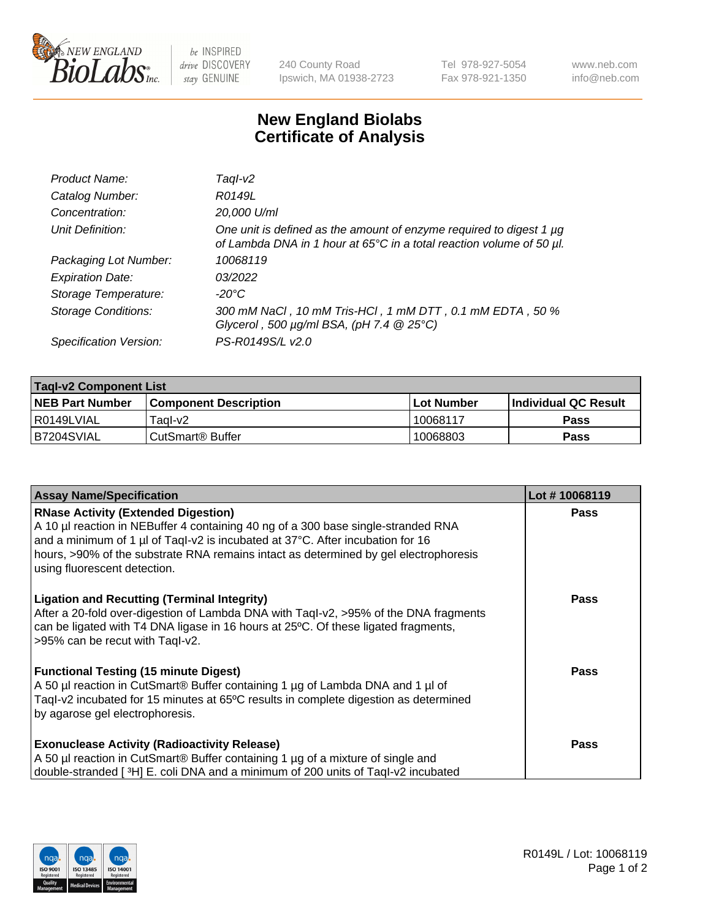

 $be$  INSPIRED drive DISCOVERY stay GENUINE

240 County Road Ipswich, MA 01938-2723 Tel 978-927-5054 Fax 978-921-1350 www.neb.com info@neb.com

## **New England Biolabs Certificate of Analysis**

| Product Name:              | Tagl-v2                                                                                                                                     |
|----------------------------|---------------------------------------------------------------------------------------------------------------------------------------------|
| Catalog Number:            | R0149L                                                                                                                                      |
| Concentration:             | 20,000 U/ml                                                                                                                                 |
| Unit Definition:           | One unit is defined as the amount of enzyme required to digest 1 µg<br>of Lambda DNA in 1 hour at 65°C in a total reaction volume of 50 µl. |
| Packaging Lot Number:      | 10068119                                                                                                                                    |
| <b>Expiration Date:</b>    | 03/2022                                                                                                                                     |
| Storage Temperature:       | $-20^{\circ}$ C                                                                                                                             |
| <b>Storage Conditions:</b> | 300 mM NaCl, 10 mM Tris-HCl, 1 mM DTT, 0.1 mM EDTA, 50 %<br>Glycerol, 500 $\mu$ g/ml BSA, (pH 7.4 $@25°C$ )                                 |
| Specification Version:     | PS-R0149S/L v2.0                                                                                                                            |

| <b>Tagl-v2 Component List</b> |                              |                   |                             |  |  |
|-------------------------------|------------------------------|-------------------|-----------------------------|--|--|
| <b>NEB Part Number</b>        | <b>Component Description</b> | <b>Lot Number</b> | <b>Individual QC Result</b> |  |  |
| I R0149LVIAL                  | Tagl-v2                      | 10068117          | <b>Pass</b>                 |  |  |
| B7204SVIAL                    | l CutSmart® Buffer           | 10068803          | Pass                        |  |  |

| <b>Assay Name/Specification</b>                                                                                                                                                                                                                                                                                                           | Lot #10068119 |
|-------------------------------------------------------------------------------------------------------------------------------------------------------------------------------------------------------------------------------------------------------------------------------------------------------------------------------------------|---------------|
| <b>RNase Activity (Extended Digestion)</b><br>A 10 µl reaction in NEBuffer 4 containing 40 ng of a 300 base single-stranded RNA<br>and a minimum of 1 µl of Taql-v2 is incubated at 37°C. After incubation for 16<br>hours, >90% of the substrate RNA remains intact as determined by gel electrophoresis<br>using fluorescent detection. | <b>Pass</b>   |
| <b>Ligation and Recutting (Terminal Integrity)</b><br>After a 20-fold over-digestion of Lambda DNA with Taql-v2, >95% of the DNA fragments<br>can be ligated with T4 DNA ligase in 16 hours at 25°C. Of these ligated fragments,<br>>95% can be recut with Tagl-v2.                                                                       | <b>Pass</b>   |
| <b>Functional Testing (15 minute Digest)</b><br>A 50 µl reaction in CutSmart® Buffer containing 1 µg of Lambda DNA and 1 µl of<br>Taql-v2 incubated for 15 minutes at 65°C results in complete digestion as determined<br>by agarose gel electrophoresis.                                                                                 | <b>Pass</b>   |
| <b>Exonuclease Activity (Radioactivity Release)</b><br>A 50 µl reaction in CutSmart® Buffer containing 1 µg of a mixture of single and<br>double-stranded [3H] E. coli DNA and a minimum of 200 units of Taql-v2 incubated                                                                                                                | Pass          |